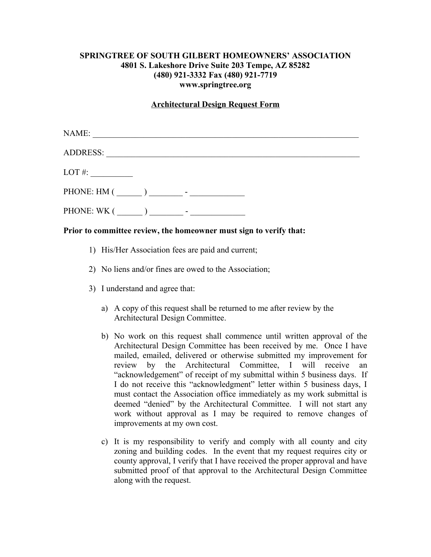## **SPRINGTREE OF SOUTH GILBERT HOMEOWNERS' ASSOCIATION 4801 S. Lakeshore Drive Suite 203 Tempe, AZ 85282 (480) 921-3332 Fax (480) 921-7719 www.springtree.org**

#### **Architectural Design Request Form**

| NAME:                                                              | <u> 1989 - Johann John Stein, mars an deutscher Stein († 1989)</u> |  |  |
|--------------------------------------------------------------------|--------------------------------------------------------------------|--|--|
| ADDRESS: New York Contract of the ADDRESS:                         |                                                                    |  |  |
| $LOT \#:$                                                          |                                                                    |  |  |
|                                                                    |                                                                    |  |  |
| PHONE: WK ( $\_\_$ ) $\_\_$ - $\_\_$ -                             |                                                                    |  |  |
| Prior to committee review, the homeowner must sign to verify that: |                                                                    |  |  |

- - 1) His/Her Association fees are paid and current;
	- 2) No liens and/or fines are owed to the Association;
	- 3) I understand and agree that:
		- a) A copy of this request shall be returned to me after review by the Architectural Design Committee.
		- b) No work on this request shall commence until written approval of the Architectural Design Committee has been received by me. Once I have mailed, emailed, delivered or otherwise submitted my improvement for review by the Architectural Committee, I will receive an "acknowledgement" of receipt of my submittal within 5 business days. If I do not receive this "acknowledgment" letter within 5 business days, I must contact the Association office immediately as my work submittal is deemed "denied" by the Architectural Committee. I will not start any work without approval as I may be required to remove changes of improvements at my own cost.
		- c) It is my responsibility to verify and comply with all county and city zoning and building codes. In the event that my request requires city or county approval, I verify that I have received the proper approval and have submitted proof of that approval to the Architectural Design Committee along with the request.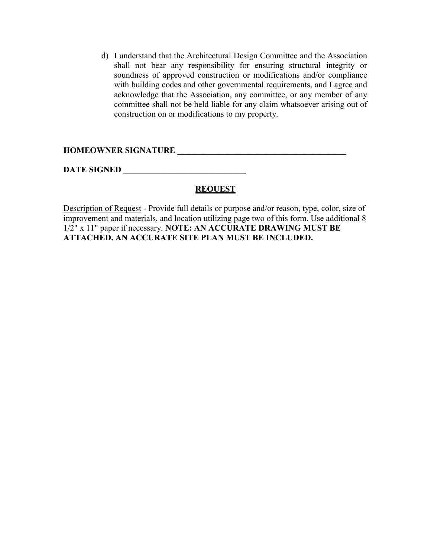d) I understand that the Architectural Design Committee and the Association shall not bear any responsibility for ensuring structural integrity or soundness of approved construction or modifications and/or compliance with building codes and other governmental requirements, and I agree and acknowledge that the Association, any committee, or any member of any committee shall not be held liable for any claim whatsoever arising out of construction on or modifications to my property.

# **HOMEOWNER SIGNATURE \_\_\_\_\_\_\_\_\_\_\_\_\_\_\_\_\_\_\_\_\_\_\_\_\_\_\_\_\_\_\_\_\_\_\_\_\_\_\_\_**

**DATE SIGNED \_\_\_\_\_\_\_\_\_\_\_\_\_\_\_\_\_\_\_\_\_\_\_\_\_\_\_\_\_**

## **REQUEST**

Description of Request - Provide full details or purpose and/or reason, type, color, size of improvement and materials, and location utilizing page two of this form. Use additional 8 1/2" x 11" paper if necessary. **NOTE: AN ACCURATE DRAWING MUST BE ATTACHED. AN ACCURATE SITE PLAN MUST BE INCLUDED.**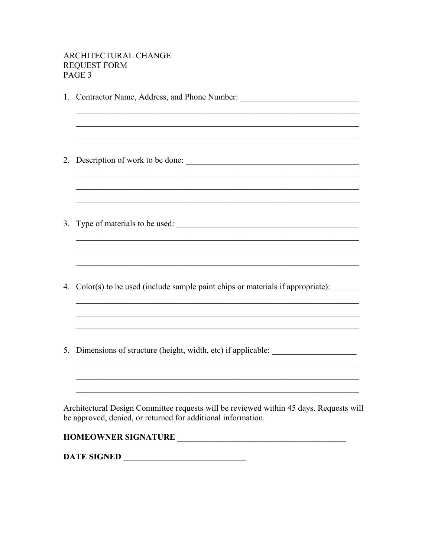### ARCHITECTURAL CHANGE **REQUEST FORM** PAGE 3

1. Contractor Name, Address, and Phone Number: \_\_\_\_\_\_\_\_\_\_\_\_\_\_\_\_\_\_\_\_\_\_\_\_\_\_\_\_\_\_\_\_\_ 3. Type of materials to be used: 4. Color(s) to be used (include sample paint chips or materials if appropriate): 5. Dimensions of structure (height, width, etc) if applicable: \_\_\_\_\_\_\_\_\_\_\_\_\_\_\_\_\_ Architectural Design Committee requests will be reviewed within 45 days. Requests will be approved, denied, or returned for additional information. 

DATE SIGNED